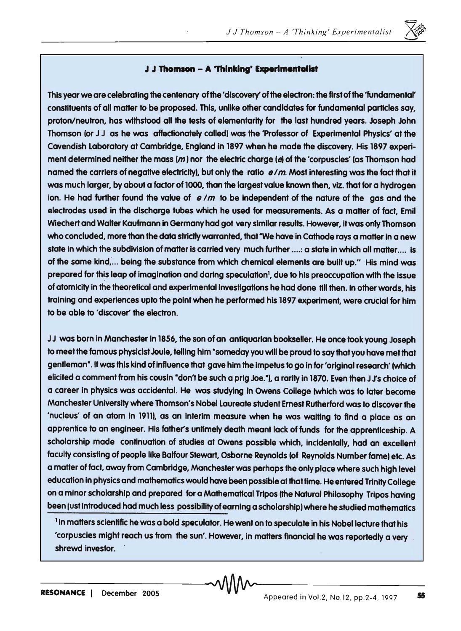

This year we are celebrating the centenary of the 'discovery' of the electron: the first of the 'fundamental' constituents of all matter to be proposed. This, unlike other candidates for fundamental particles say, proton/neutron, has withstood all the tests of elementarlty for the last hundred years. Joseph John Thomson (or J J as he was affectionately called' was the 'Professor of Experimental Physics' at the Cavendish Laboratory at Cambridge, England In 1897 when he made the discovery. His 1897 experiment determined neither the mass  $(m)$  nor the electric charge (e) of the 'corpuscles' (as Thomson had named the carriers of negative electricity), but only the ratio  $e/m$ . Most interesting was the fact that it was much larger, by about a factor of 1000, than the largest value known then, viz. that for a hydrogen ion. He had further found the value of  $e/m$  to be independent of the nature of the gas and the electrodes used in the discharge tubes which he used for measurements. As a matter of fact, Emil Wiechert and Walter Kaufmann In Germany had got very similar results. However, It was only Thomson who concluded, more than the data strictly warranted, that "We have in Cathode rays a matter in a new state in which the subdivision of matter is carried very much further .... : a state In which all matter .... is of the same kind,... being the substance from which chemical elements are built up." His mind was prepared for this leap of imagination and daring speculation<sup>1</sup>, due to his preoccupation with the issue of atomicity in the theoretical and experimental Investigations he had done till then. In other words, his training and experiences upto the point when he performed his 1897 experiment, were crucial for him to be able to 'discover' the electron.

J J was born in Manchester In 1856, the son of an antiquarian bookseller. He once took young Joseph to meet the famous physicist Joule, telling him "someday you will be proud to say that you have met that gentleman". It was this kind of influence that gave him the impetus to go in for 'original research' (which elicited a comment from his cousin "don't be such a prig Joe."), a rarity in 1870. Even then JJ's choice of a career in physics was accidental. He was studying In Owens College (which was to later become Manchester University where Thomson's Nobel Laureate student Ernest Rutherford was to discover the 'nucleus' of an atom in 1911), as an interim measure when he was waiting to find a place as an apprentice to an engineer. His father's untimely death meant lack of funds for the apprenticeship. A scholarship made continuation of studies at Owens possible which, incidentally, had an excellent faculty consisting of people like Balfour Stewart, Osborne Reynolds (of Reynolds Number fame) etc. As a matter of fact, away from Cambridge, Manchester was perhaps the only place where such high level education in physics and mathematics would have been possible at that time. He entered Trinity College on a minor scholarship and prepared for a Mathematical Tripos (the Natural Philosophy Tripos having been just introduced had much less possibility of earning a scholarship) where he studied mathematics

<sup>1</sup> In matters scientific he was a bold speculator. He went on to speculate in his Nobel lecture that his 'corpuscles might reach us from the sun'. However, in matters financial he was reportedly a very shrewd investor.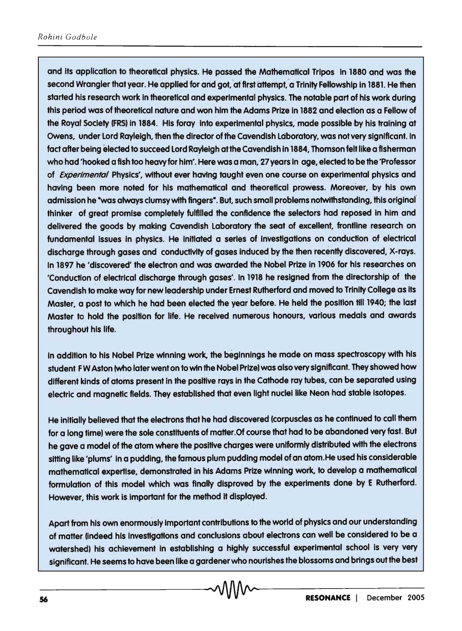and its application to theoretical physics. He passed the Mathematical Tripos in 1880 and was the second Wrangler that year. He applied for and got, at first attempt, a Trinity Fellowship in 1881. He then started his research work In theoretical and experimental physics. The notable part of his work during this period was of theoretical nature and won him the Adams Prize in 1882 and election as a Fellow of the Royal Society (FRS) in 1884. His foray Into experimental physics, made possible by his training at Owens, under lord Rayleigh, then the director of the Cavendish laboratory, was not very significant. In fact after being elected to succeed Lord Rayleigh at the Cavendish in 1884, Thomson felt like a fisherman who had 'hooked a fish too heavy for him'. Here was a man, 27 years In age, elected to be the 'Professor of *Experimental* Physics', without ever having taught even one course on experimental physics and having been more noted for his mathematical and theoretical prowess. Moreover, by his own admission he "was always clumsy with fingers·. But, such small problems notwithstanding, this original' thinker of great promise completely fulfilled the confidence the selectors had reposed in him and delivered the goods by making Cavendish Laboratory the seat of excellent, frontline research on fundamental issues in physics. He initiated a series of investigations on conduction of electrical discharge through gases and conductivity of gases Induced by the then recently discovered, X-rays. In 1897 he 'discovered' the electron and was awarded the Nobel Prize in 1906 for his researches on 'Conduction of electrical discharge through gases'. In 1918 he resigned from the directorship of the Cavendish to make way for new leadership under Ernest Rutherford and moved to Trinity College as Its Master, a post to which he had been elected the year before. He held the position till 1940; the last Master to hold the position for life. He received numerous honours, various medals and awards throughout his life.

In addition to his Nobel Prize winning work, the beginnings he made on mass spectroscopy with his student F W Aston (who later went on to win the Nobel Prize) was also very Significant. They showed how different kinds of atoms present In the positive rays in the Cathode ray tubes, can be separated using electric and magnetic fields. They established that even light nuclei like Neon had stable isotopes.

He initially believed that the electrons that he had discovered (corpuscles as he continued to call them for a long time) were the sole constituents of matter.Of course that had to be abandoned very fast. But he gave a model of the atom where the positive charges were uniformly distributed with the electrons sitting like 'plums' in a pudding, the famous plum pudding model of an atom.He used his considerable mathematical expertise, demonstrated in his Adams Prize winning work, to develop a mathematical formulation of this model which was finally disproved by the experiments done by E Rutherford. However, this work is Important for the method It displayed.

Apart from his own enormously important contributions to the world of physics and our understanding of matter (Indeed his Investigations and conclusions about electrons can well be considered to be a watershed) his achievement in establishing a highly successful experimental school is very very significant. He seems to have been like a gardener who nourishes the blossoms and brings out the best